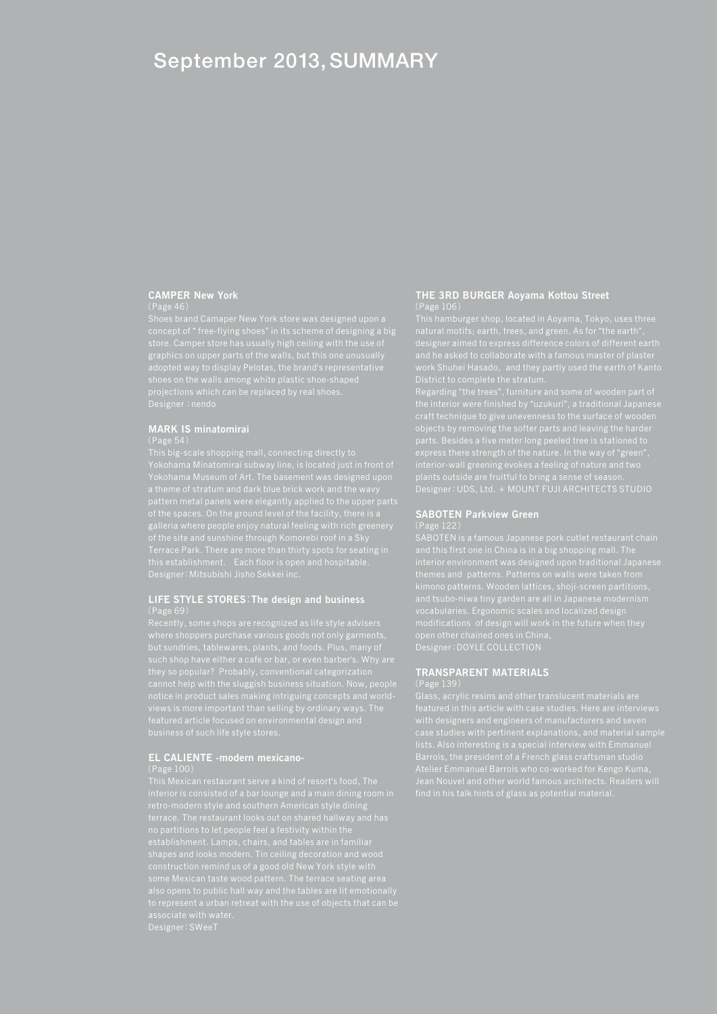## September 2013, SUMMARY

## **CAMPER New York**

concept of " free-flying shoes" in its scheme of designing a big graphics on upper parts of the walls, but this one unusually

## **MARK IS minatomirai**

Yokohama Minatomirai subway line, is located just in front of Designer:Mitsubishi Jisho Sekkei inc.

# **LIFE STYLE STORES**:**The design and business**

but sundries, tablewares, plants, and foods. Plus, many of

# **EL CALIENTE -modern mexicano-**

# **THE 3RD BURGER Aoyama Kottou Street**

District to complete the stratum.

Regarding "the trees", furniture and some of wooden part of

## **SABOTEN Parkview Green**

SABOTEN is a famous Japanese pork cutlet restaurant chain Designer:DOYLE COLLECTION

### **TRANSPARENT MATERIALS**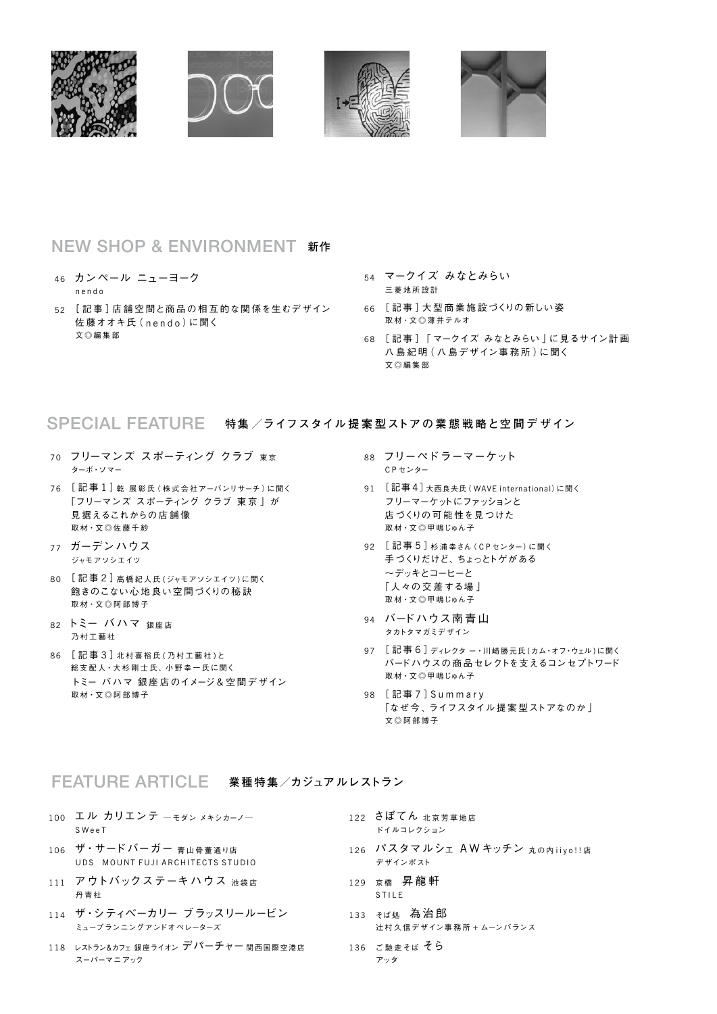

## NEW SHOP & ENVIRONMENT **新作**

- 46 カンペール ニューヨーク n e n d o
- 52 「記事 ] 店舗空間と商品の相互的な関係を生むデザイン 佐藤オオキ氏 (nendo)に聞く 文◎編集部
- 54 マークイズ みなとみらい 三 菱 地 所 設 計
- 66 [ 記 事 ]大 型 商 業 施 設づくりの新しい姿 取材・文◎薄井テルオ
- 68 [ 記 事 ]「 マークイズ みなとみらい 」に見るサイン計 画 八島紀明 (八島デザイン事務所)に聞く 文 ◎ 編 集 部

### SPECIAL FEATURE **特集 /ライフスタイル <sup>提</sup> <sup>案</sup> 型ストアの <sup>業</sup> <sup>態</sup> <sup>戦</sup> 略と空 <sup>間</sup> <sup>デ</sup> ザイン**

- 70 フリーマンズ スポーティング クラブ 東京 ターボ・ソマー
- 76 [記事1]乾 展彰氏 (株式会社アーバンリサーチ)に聞く 「フリーマンズ スポーティング クラブ 東 京 」が 見 据えるこれからの店 舗 像 取 材・文 ◎ 佐 藤 千 紗
- 77 ガーデンハウス ジャモアソシエイツ
- 80 [記事2]高橋紀人氏(ジャモアソシエイツ)に聞く 飽きのこない心 地良い空 間づくりの秘 訣 取材·文◎阿部博子
- 82 トミー バハマ 銀座店 乃 村 工 藝 社
- 86 [ 記 事 3 ]北 村 喜 裕 氏 ( 乃 村 工 藝 社 )と 総支配人・大杉剛士氏、小野幸一氏に聞く トミー バハマ 銀 座 店のイメージ & 空 間デザイン 取 材・文 ◎ 阿 部 博 子
- 88 フリーペドラーマーケット C P センター
- 91 [ 記事 4 ]大西良夫氏( WAVE international)に聞く フリーマーケットにファッションと 店づくりの可 能 性を見つけた 取材・文◎甲嶋じゅん子
- 92 [記事 5] 杉浦幸さん (CPセンター)に聞く 手づくりだけど、ちょっとトゲがある ~デッキとコーヒーと 「人々の 交 差する場 」 取材・文◎甲嶋じゅん子
- 94 バードハウス南青山 タカトタマガミデザイン
- 97 [記事6]ディレクター・川崎勝元氏 (カム・オフ・ウェル)に聞く バードハウスの商 品セレクトを支えるコンセプトワード 取材・文◎甲嶋じゅん子
- 98 [ 記 事 7 ]S u m m a r y 「なぜ今、ライフスタイル提案型ストアなのか」 文 ◎ 阿 部 博 子

### FEATURE ARTICLE **業種特集/カジュア ルレストラン**

- 100 エル カリエンテ  $-$  モダン メキシカーノー S W e e T
- 106 ザ・サードバーガー 青山骨董通り店 UDS MOUNT FUJI ARCHITECTS STUDIO
- 111 アウトバックステーキハウス 池袋店 丹 青 社
- 114 ザ・シティベーカリー ブラッスリールービン ミュープランニングアンドオペレーターズ
- 118 レストラン&カフェ銀座ライオン デパーチャー 関西国際空港店 スーパーマニアック
- 122 さぼてん 北京芳草地店 ドイルコレクション
- 126 パスタマルシェ AW キッチン 丸の内 iiyo !! 店 デザインポスト
- 129 京橋 昇龍軒 S T I L E
- 133 そば処 為治郎 辻 村 久 信デザイン事 務 所 + ムーンバランス
- 136 ご 馳 走 そ ら アッタ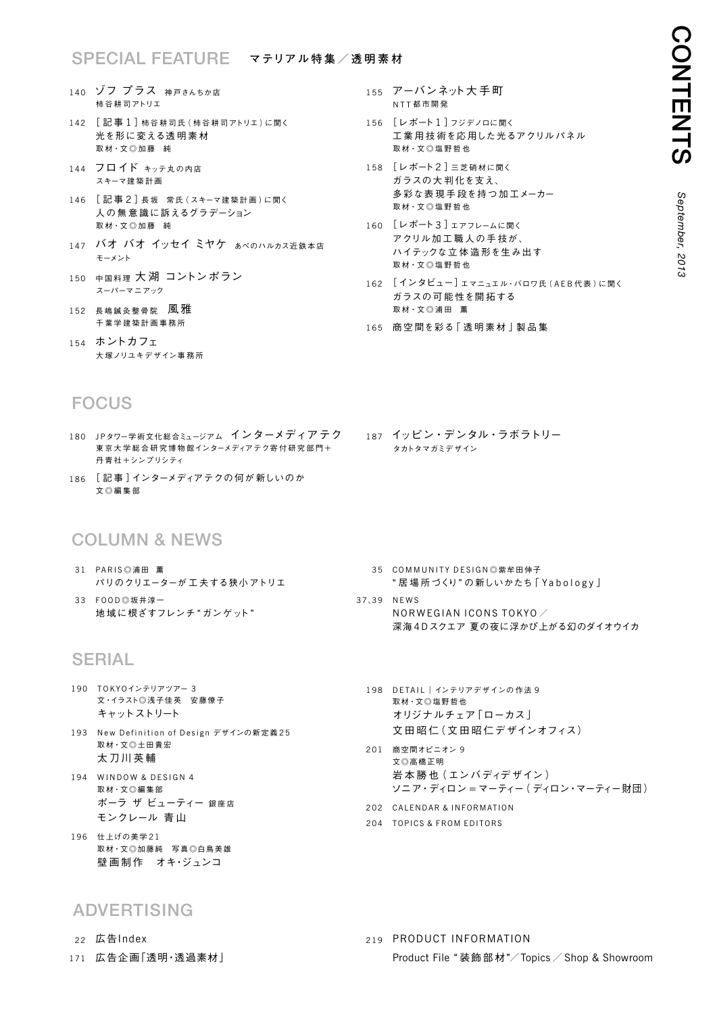### SPECIAL FEATURE **マテリア <sup>ル</sup> <sup>特</sup> <sup>集</sup> / <sup>透</sup> <sup>明</sup> <sup>素</sup> <sup>材</sup>**

- 140 ゾフ プラス 神戸さんちか店 柿 谷 耕 司アトリエ
- 142 [記事1]柿 谷耕司氏 (柿 谷耕司アトリエ)に聞く 光を形に変える透明素材 取材·文◎加藤 純
- 144 フロイド キッテォの内店 スキーマ建 築 計 画
- 146 [記事2]長坂 常氏 (スキーマ建築計画)に聞く 人の無 意 識に訴えるグラデーション 取材 · 文◎加藤 純
- 147 バオ バオ イッセイ ミヤケ ぁべのハルカス近鉄本店 モーメント
- 150 中国料理 大湖 コントンポラン スーパーマニアック
- $152$  長嶋鍼灸整骨院 風雅 千 葉 学 建 築 計 画 事 務 所
- 154 ホントカフェ 大塚ノリユキデザイン事務所

## FOCUS

- 180 JPタワー学術文化総合ミュージアム インターメディアテク 東 京 大 学 総 合 研 究 博 物 館 インターメディア テク 寄 付 研 究 部 門 + 丹 青 社+シンプリシティ
- 186 [ 記 事 ]インターメディアテクの何が 新しいのか 文◎編集部

## Column & news

- 31 PARIS ◎浦田 薫 パリのクリエーターが 工 夫する狭小 アトリエ
- 33 FOOD ①坂井淳一 地域に根ざすフレンチ"ガンゲット"

## **SERIAL**

- 190 TOKYOインテリアツアー 3 文・イラスト◎浅子佳英 安藤僚子 キャットストリート
- 193 New Definition of Design デザインの新定義 25 取材・文◎土田貴宏 太 刀 川 英 輔
- 194 WINDOW & DESIGN 4 取材・文◎編集部 ポーラ ザ ビューティー 銀座店 モンクレール 青 山
- 196 仕上げの美学 21 取材・文◎加藤純 写真◎白鳥美雄 壁画制作 オキ・ジュンコ

### **ADVERTISING**

- 22 広告Index
- 171 広告企画「透明・透過素材」
- 155 アーバンネット大手町 **NTT都市開発**
- 156 [レポート1]フジデノロに聞く 工 業 用 技 術を応 用した光るアクリルパネル 取 材・文 ◎ 塩 野 哲 也
- 158 [レポート 2 ]三 芝 硝 材に聞く ガラスの大 判 化を支え、 多彩な表現手段を持つ加工メーカー 取 材・文 ◎ 塩 野 哲 也
- 160 [レポート 3 ]エアフレームに聞く アクリル加 工 職 人の手 技が、 ハイテックな立体造形を生み出す 取材 · 文◎塩野哲也
- 162 [インタビュー] エマニュエル·バロワ氏 (AEB代表)に聞く ガラスの可 能 性を開 拓する 取材 · 文◎浦田 薫
- 165 商空間を彩る「透明素材」製品集
- 187 イッピン・デンタル・ラボラトリー タカトタマガミデザイン

- 35 COMMUNITY DESIGN ◎ 紫牟田伸子 " 居 場 所づくり" の新しいかたち「 Y a b o l o g y 」
- 37、39 NEWS NORWEGIAN ICONS TOKYO $\angle$ 深海 4Dスクエア 夏の夜に浮かび上がる幻のダイオウイカ
	- 198 DETAIL | インテリアデザインの作法 9 取材・文◎塩野哲也 オリジナルチェア「ローカス」 文田昭仁 (文田昭仁デザインオフィス)
	- 201 商空間オピニオン 9 文◎高橋正明 岩本勝也 (エンバディデザイン) ソニア・ディロン =マーティー( ディロン・マーティー財団)
	- 202 CALENDAR & INFORMATION
	- 204 TOPICS & FROM EDITORS

219 PRODUCT INFORMATION Product File " 装飾部 材"/Topics / Shop & Showroom